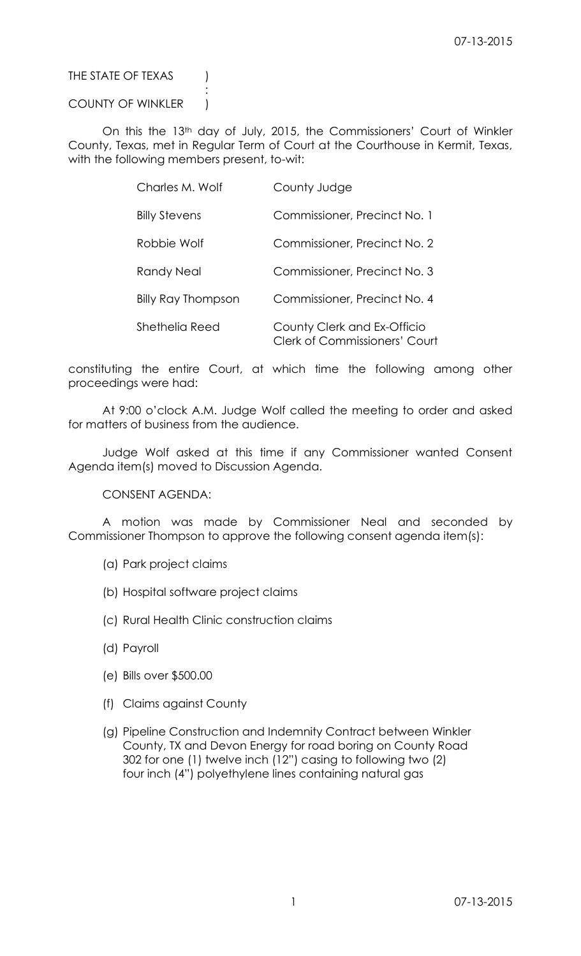## THE STATE OF TEXAS (

### COUNTY OF WINKLER |

:

On this the 13th day of July, 2015, the Commissioners' Court of Winkler County, Texas, met in Regular Term of Court at the Courthouse in Kermit, Texas, with the following members present, to-wit:

| Charles M. Wolf      | County Judge                                                        |
|----------------------|---------------------------------------------------------------------|
| <b>Billy Stevens</b> | Commissioner, Precinct No. 1                                        |
| Robbie Wolf          | Commissioner, Precinct No. 2                                        |
| <b>Randy Neal</b>    | Commissioner, Precinct No. 3                                        |
| Billy Ray Thompson   | Commissioner, Precinct No. 4                                        |
| Shethelia Reed       | County Clerk and Ex-Officio<br><b>Clerk of Commissioners' Court</b> |

constituting the entire Court, at which time the following among other proceedings were had:

At 9:00 o'clock A.M. Judge Wolf called the meeting to order and asked for matters of business from the audience.

Judge Wolf asked at this time if any Commissioner wanted Consent Agenda item(s) moved to Discussion Agenda.

CONSENT AGENDA:

A motion was made by Commissioner Neal and seconded by Commissioner Thompson to approve the following consent agenda item(s):

- (a) Park project claims
- (b) Hospital software project claims
- (c) Rural Health Clinic construction claims
- (d) Payroll
- (e) Bills over \$500.00
- (f) Claims against County
- (g) Pipeline Construction and Indemnity Contract between Winkler County, TX and Devon Energy for road boring on County Road 302 for one (1) twelve inch (12") casing to following two (2) four inch (4") polyethylene lines containing natural gas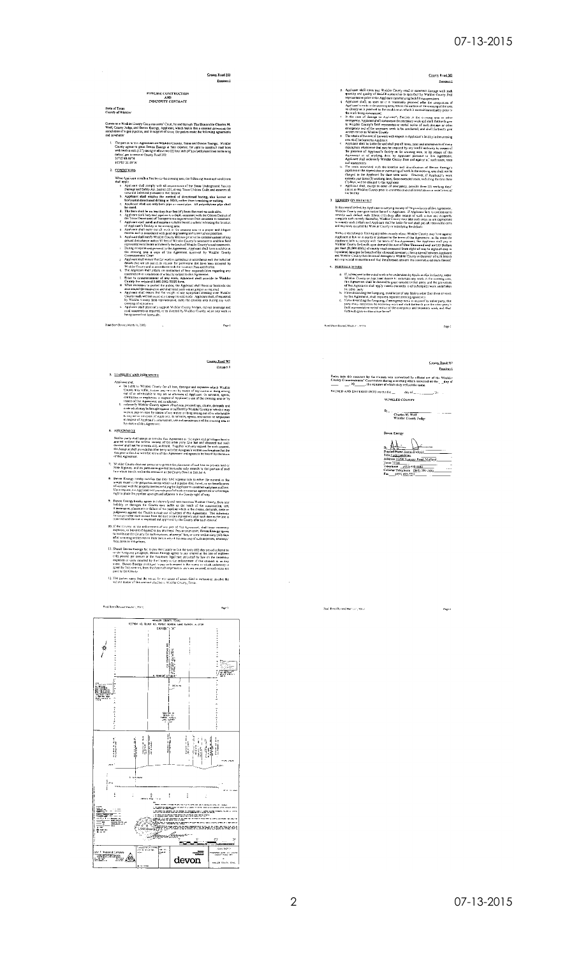### 07-13-2015





12. The parties agree that the versue for any cross of action filed in enforce or involve the volume meter of the contrast shall be in Winkler Coordy, Texas.

2 07-13-2015

-<br>Zool Brie (Rovied Marts (1, 2013)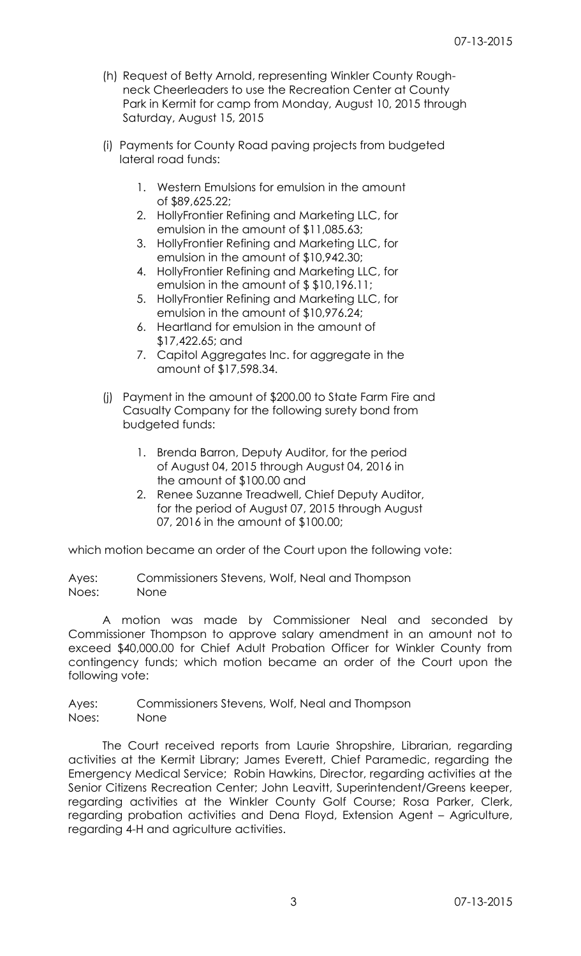- (h) Request of Betty Arnold, representing Winkler County Roughneck Cheerleaders to use the Recreation Center at County Park in Kermit for camp from Monday, August 10, 2015 through Saturday, August 15, 2015
- (i) Payments for County Road paving projects from budgeted lateral road funds:
	- 1. Western Emulsions for emulsion in the amount of \$89,625.22;
	- 2. HollyFrontier Refining and Marketing LLC, for emulsion in the amount of \$11,085.63;
	- 3. HollyFrontier Refining and Marketing LLC, for emulsion in the amount of \$10,942.30;
	- 4. HollyFrontier Refining and Marketing LLC, for emulsion in the amount of \$ \$10,196.11;
	- 5. HollyFrontier Refining and Marketing LLC, for emulsion in the amount of \$10,976.24;
	- 6. Heartland for emulsion in the amount of \$17,422.65; and
	- 7. Capitol Aggregates Inc. for aggregate in the amount of \$17,598.34.
- (j) Payment in the amount of \$200.00 to State Farm Fire and Casualty Company for the following surety bond from budgeted funds:
	- 1. Brenda Barron, Deputy Auditor, for the period of August 04, 2015 through August 04, 2016 in the amount of \$100.00 and
	- 2. Renee Suzanne Treadwell, Chief Deputy Auditor, for the period of August 07, 2015 through August 07, 2016 in the amount of \$100.00;

which motion became an order of the Court upon the following vote:

Ayes: Commissioners Stevens, Wolf, Neal and Thompson Noes: None

A motion was made by Commissioner Neal and seconded by Commissioner Thompson to approve salary amendment in an amount not to exceed \$40,000.00 for Chief Adult Probation Officer for Winkler County from contingency funds; which motion became an order of the Court upon the following vote:

Ayes: Commissioners Stevens, Wolf, Neal and Thompson Noes: None

The Court received reports from Laurie Shropshire, Librarian, regarding activities at the Kermit Library; James Everett, Chief Paramedic, regarding the Emergency Medical Service; Robin Hawkins, Director, regarding activities at the Senior Citizens Recreation Center; John Leavitt, Superintendent/Greens keeper, regarding activities at the Winkler County Golf Course; Rosa Parker, Clerk, regarding probation activities and Dena Floyd, Extension Agent – Agriculture, regarding 4-H and agriculture activities.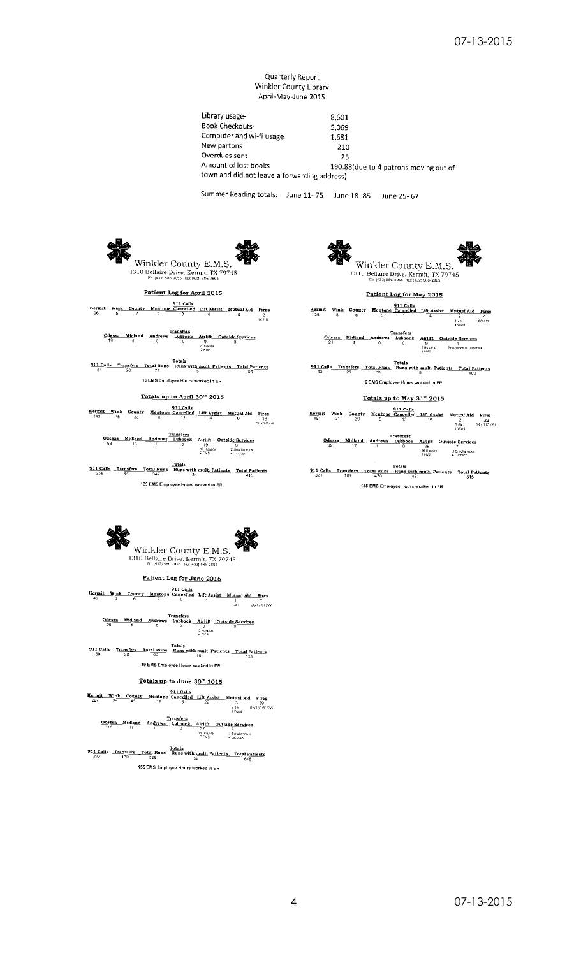#### Quarterly Report Winkler County Library April-May-June 2015

Library usage-8,601 Book Checkouts-5,069 Computer and wi-fi usage 1,681 New partons  $210$ Overdues sent 25 Amount of lost books 190.88(due to 4 patrons moving out of town and did not leave a forwarding address)

Summer Reading totals: June 11-75 June 18-85 June 25-67



Winkler County E.M.S. 1310 Bellaire Drive, Kermit, TX 79745

Patient Log for April 2015

**Example 18**<br>26 5 7 Mentone Cancelled Lift Assist Matual Aid Fires<br>26 5 7 2 3 6 0 2 3

 $\begin{array}{cccc} \textbf{Consas} & \textbf{Trans} \textbf{fers} \\ \textbf{Odesas} & \textbf{Midland} & \textbf{Andrews} & \textbf{Lubble} & \textbf{Aifilft} & \textbf{Outside} & \textbf{Sgrvices} \\ 19 & 5 & 0 & 71 \\ 19 & 5 & 0 & 71 \\ & & 2 \text{ Eds} & \\ \end{array}$ 

911 Calla Transfers Total Runs Runs with mult. Patjents Total Patients  $\frac{51}{51}$   $\frac{26}{26}$   $\frac{77}{77}$   $\frac{61}{5}$ 16 EMS Employee Hours worked in ER

Totals up to April 30th 2015

 $11 13 14 15 16 17 17 18 19 12 18 19 19 19 19 19 19 19 19 19 19 19 19 19 19 19 19 19$ </u>

 $\begin{array}{cccc} \textbf{Odessa} & \textbf{Midland} & \textbf{Transfers} \\ \hline \textbf{Odessa} & \textbf{Midland} & \textbf{Andrews} & \textbf{Lubbock} & \textbf{Aitilft} & \textbf{Outside Services} \\ \textbf{63} & 13 & ? & ? & ? \\ & & 13 & ? & 13 & 25 \\ & & 25 & 45 & 45 & 45 \\ \end{array}$ 

 $\frac{\textbf{911} \text{Calls}}{258} \cdot \frac{\textbf{Transfers}}{34} \cdot \frac{\textbf{Total Runs with mvl, Patients}}{342} \cdot \frac{\textbf{Runs with mvl, Patients}}{34} \cdot \frac{\textbf{Total Paths}}{415}$ 139 EMS Employee Hours worked in ER

Winkler County E.M.S. Patient Log for May 2015

**Patient Log for May 2015**<br>Externit Wink County Mentone Cancelled Lift Assist Mutual Aid Pires<br>38 5 6 3 3 4 4 2<br> $\frac{1}{16}$ <br>1  $\frac{1}{16}$ <br>1  $\frac{1}{16}$ <br>1  $\frac{1}{16}$ 

911 Calls Transfers Total Runs Runs with mult. Patients Total Patients<br>63 25 88 88 88 88 88 88 100 6 EMS Employee Hours worked in ER

Totals up to May 31st 2015

Fotals up to May 31<sup>t</sup> 2015<br>
<u>Every it Wink</u> County Mentone Cancel Lift Assist Mutual Aid Fires<br>  $\frac{111 \text{ Calls}}{13!}$ <br>  $\frac{111 \text{ Calls}}{13}$ <br>  $\frac{121 \text{ Halls}}{13}$ <br>  $\frac{128}{13}$ <br>  $\frac{128}{13}$ <br>  $\frac{128}{13}$ <br>  $\frac{128}{13}$ <br>  $\frac{127$ 

145 EMS Employee Hours worked in ER



Winkler County E.M.S.

Patient Log for June 2015

**Example 11 Comparison Section 1 Section 1 Section 1 Section 1 Section 1 Section 1 Section 1 Section 1 Section 1 Section 1 Section 1 Section 1 Section 1 Section 1 Section 1 Section 1 Section 1 Section 1 Section 1 Section** 

 $\underbrace{\underbrace{\text{Odessa}}_{29} \quad \underbrace{\text{Midland}}_{1} \quad \text{Andrews} \quad \underbrace{\text{Lubbook}}_{1} \quad \underbrace{\text{Airlift}}_{9} \quad \underbrace{\text{Outside}}_{2 \text{Gurs} \times 1}}_{4 \text{ CMS}}$ 

**911 Calls Transfers Total Runs Totals**<br> $\frac{69}{69}$   $\frac{30}{30}$   $\frac{1}{99}$   $\frac{3}{99}$   $\frac{1}{10}$   $\frac{1}{10}$   $\frac{1}{10}$   $\frac{1}{10}$   $\frac{1}{10}$ 10 EMS Employee Hours worked in ER

### Totals up to June 30th 2015

**911 Calls** Transfers Total Runs Runs with mult, Patients, Total Patients 390 139 529 52 155 EMS Employee Hours worked in ER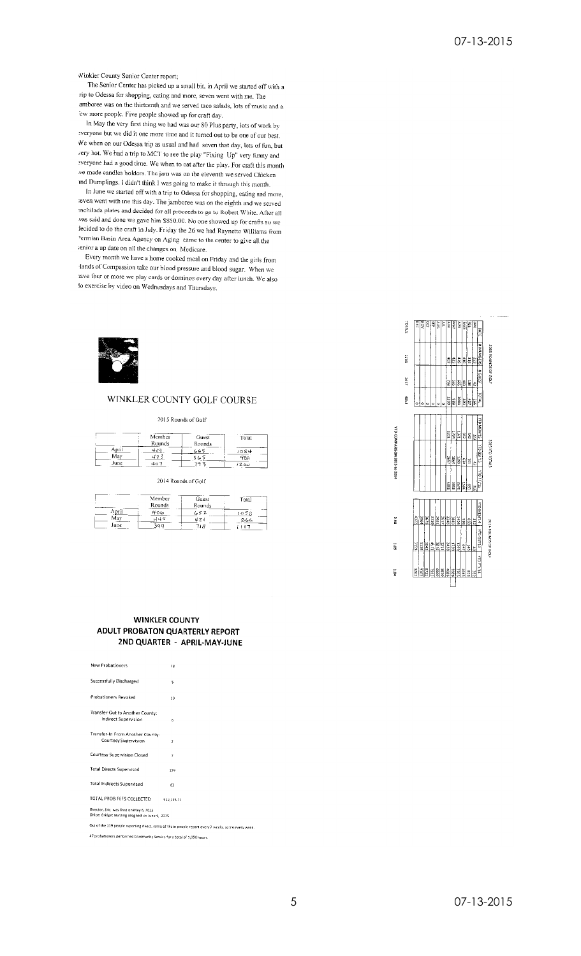Winkler County Senior Center report;

The Senior Center has picked up a small bit, in April we started off with a rip to Odessa for shopping, eating and more, seven went with me. The amboree was on the thirteenth and we served taco salads, lots of music and a 'ew more people. Five people showed up for craft day.

In May the very first thing we had was our 80 Plus party, lots of work by everyone but we did it one more time and it turned out to be one of our best. We when on our Odessa trip as usual and had seven that day, lots of fun, but very hot. We had a trip to MCT to see the play "Fixing Up" very lumpy and Everyone had a good time. We when to cat after the play. For craft this month we made candles holders. The jam was on the eleventh we served Chicken and Dumplings. I didn't think I was going to make it through this month.

In June we started off with a trip to Odessa for shopping, eating and more, even went with me this day. The jamboree was on the eighth and we scrved enchilada plates and decided for all proceeds to go to Robert White. After all was said and done we gave him \$850.00. No one showed up for crafts so we lecided to do the craft in July. Friday the 26 we had Raynette Williams from Permian Basin Area Agency on Aging came to the center to give all the senior a up date on all the changes on Medicare.

Every month we have a home cooked meal on Friday and the girls from lands of Compassion take our blood pressure and blood sugar. When we tave four or more we play cards or dominos every day after lunch. We also to exercise by video on Wednesdays and Thursdays.



### WINKLER COUNTY GOLF COURSE

2015 Rounds of Golf

|       | Member<br>Rounds | Guest<br>Rounds | Total |
|-------|------------------|-----------------|-------|
| April |                  | می بری          | 1084  |
| May   | 42               | Lo              | 988   |
| June  | 4o1              | ۰G.             | 1200  |

2014 Rounds of Golf

|       | Member<br>Rounds<br>$\sim$ $\sim$ | Guest<br>Rounds | Total |
|-------|-----------------------------------|-----------------|-------|
| April | 406                               | 652             | 1058  |
| May   | 145                               | 421             | 866   |
| June  | 3G O                              | אוד             |       |

#### **WINKLER COUNTY** ADULT PROBATON QUARTERLY REPORT 2ND QUARTER - APRIL-MAY-JUNE

| New Probationers                                                                             | 28                                                                                                 |
|----------------------------------------------------------------------------------------------|----------------------------------------------------------------------------------------------------|
| Successfully Discharged                                                                      | 5                                                                                                  |
| <b>Probationers Revoked</b>                                                                  | 10                                                                                                 |
| Transfer-Out to Another County:<br>Indirect Supervision                                      | 6                                                                                                  |
| Transfer-In From Another County:<br>Courtesy Supervision                                     | $\overline{\mathbf{z}}$                                                                            |
| Courtesy Supervision Closed                                                                  | $\overline{7}$                                                                                     |
| <b>Total Directs Supervised</b>                                                              | 119                                                                                                |
| <b>Total Indirects Supervised</b>                                                            | 82                                                                                                 |
| TOTAL PROB FEFS COLLECTED                                                                    | \$22,255.71                                                                                        |
| Director, Eric, was fired on May 6, 2015<br>Officer Bridget Nurding resigned on June 5, 2015 |                                                                                                    |
|                                                                                              | Out of the 119 people reporting direct, some of those people report every 2 weeks, some every week |
| 47 probationers performed Community Service for a total of 1,050 hours.                      |                                                                                                    |

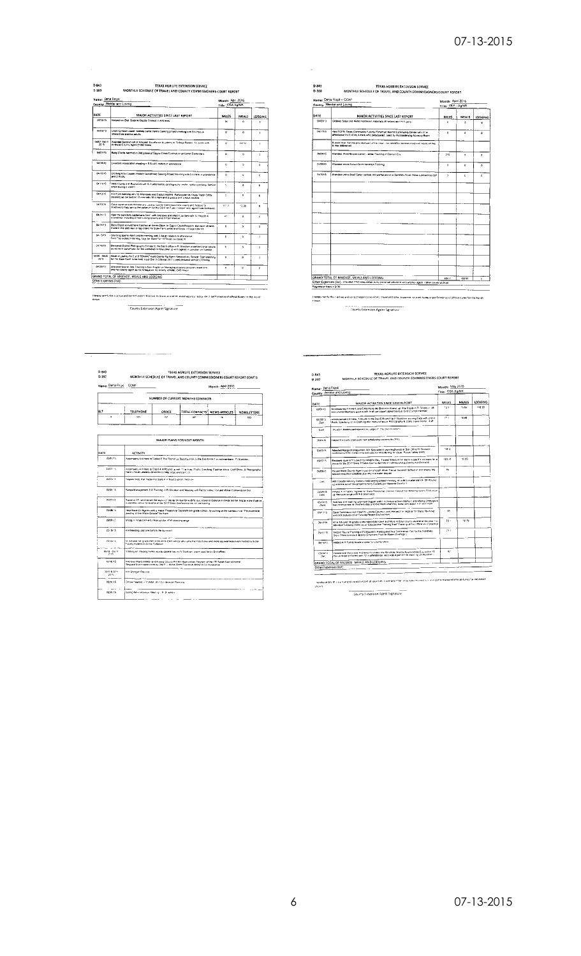| 0-843 | TEXAS AGRILIFE EXTENSION SERVICE                                 |
|-------|------------------------------------------------------------------|
| D-360 | MONTHLY SCHEDULE OF TRAVEL AND COUNTY COMMISSIONERS COURT REPORT |

| Name: Dena Froyd       | County: Winkler and Loving                                                                                                                                                                      | Month: April 2015<br>Title: CEA Ag/NR |                      |                      |
|------------------------|-------------------------------------------------------------------------------------------------------------------------------------------------------------------------------------------------|---------------------------------------|----------------------|----------------------|
|                        |                                                                                                                                                                                                 |                                       |                      |                      |
| DATE                   | MAIOR ACTIVITIES SINCE LAST REPORT                                                                                                                                                              | MUFS                                  | MFALS.               | LODGING              |
| 34/02/15               | Helped run Digt Quds to Dazzle Contest in Andrews                                                                                                                                               | à.                                    | n.                   | r.                   |
| numers.                | Obthing Adult Leader Metody Dartis, here a Sawing project meeting with \$4 (rigis a).<br>alteria ance son two pouls.                                                                            | a                                     | á.                   | ú                    |
| 0481-0450<br>2015      | Ananded Second list of Process Excellence Austerry in Octoge Station. To cook with<br>Andrews County Agent (1002 Miles)                                                                         | $\alpha$                              | 147.51               | ò.                   |
| 84/37/15               | Baby Chicha Nationed in 2nd phase of Egg to Onick Cumbylon: at Kenner Elevantary                                                                                                                | n.                                    | ۵                    | ٠                    |
| 04/18/15               | Lweetsck Asascration meeting w \$ Acuit Leadars in allendance                                                                                                                                   | Ġ                                     | b.                   | $\ddot{\phantom{0}}$ |
| 04/10/25               | Dothing Aduction design: Melocy Danielmed Seeing Project Asseting with 5 A-Hars in attendance<br>and 2 Abula.                                                                                   | ń.                                    | ń,                   | r.                   |
| Geneva S               | Held Charter and Round Up with Birn attendance (photography inverts including to Alany Spotters<br>510n During crystent                                                                         | Y)                                    | ó.                   | ó                    |
| 04/12/15               | 4-H Com meeting with 12 Allengees and 5 adustrators. Participated in Trues Trash Off by<br>ocaning up our section of may with 10 4-Hers and 2 guess and 5 Abus we have                          | ċ                                     | n.                   | ó                    |
| 06/13/15               | Geve report at both Winkler and Loving County Commissioners County and helionic to<br>Andrews to help aer up the collatum for the Cent on Tues, I stayed with apoid hom Andrewell.              | $11 - 1$                              | 17.30                | $\mathbf{a}$         |
| GALLEY'S               | Held the Sanctula Capterhans Cont. with Andraws and Ward Counters with 15 Poor le vi-<br>stendance including 2 from Lowing County and 3 from Winkler                                            | a r                                   | n                    | ń.                   |
| 06/10/15               | Baby Dapks should have haldbed at Kerms Elevin in Egg to Chick Propia to But noon of them.<br>made it. We also sent in lag orders for Slute Fair Lambs and Gogly irs lags ordered,              | ň                                     | a.                   | b.                   |
| 0615/15                | Shorting Scorts Aput Leader meeting with 3 Adult I eachirs in allenguing<br>Next Tabledon, in for Hog, Sage for Slate Fax: of Texas   entered #1                                                | ċ.                                    | ä                    | $\alpha$             |
| SIZENIA.               | De kered District Photography Entres to the Dist 6 office in Pr Stocklon jured personal vehicle<br>as we went out of town for the weekend 24 miles; killer up with agency in punction on Sunday | r.                                    | $\ddot{\phantom{1}}$ | ň                    |
| 0426 - 0422 1<br>2015. | Head to Leakey for Dist & TCAAA(" exas County Ag Agent Association) Retient. Start stanning<br>for the State Cord to be held in our Dat in Odessa 2017 super personal vehicles 23 lo lings      | Ġ.                                    | $\overline{a}$       | ă.                   |
| 04/22/15               | Attacend face to late Training in Sian Analysis on Managing a county program listed with<br>encliner county agent so no artissue on my county vehicle, (349 miles)                              | n                                     | n                    | ň.                   |
|                        | GRAND TOTAL OF MILFAGE, MEALS AND LOOGING                                                                                                                                                       |                                       |                      |                      |
| Other Expenses (list): |                                                                                                                                                                                                 |                                       |                      |                      |

Therapy certly this is a true and correct report of activities, travel and there expensions under the orientary performance of otheal duries for the inquiri-<br>those County Extersion Agent Signature

| Name: Dena Floyd - CGN1                                                                                                                                              | Month: April 2015                                                                                     |              |                     |  |
|----------------------------------------------------------------------------------------------------------------------------------------------------------------------|-------------------------------------------------------------------------------------------------------|--------------|---------------------|--|
|                                                                                                                                                                      |                                                                                                       |              |                     |  |
| MAJOR ACTIVITIES SINCE LAST REPORT                                                                                                                                   | <b>ANLES</b>                                                                                          | MEALS        | <b>LODGING</b>      |  |
|                                                                                                                                                                      | c                                                                                                     | ä.           | $\ddot{\mathbf{0}}$ |  |
| Held TCFF) Texas Commanliy Futures Fortantiat Wermt Community Center with 27 in<br>afference inc 2 of my 4 Mars who conscipated. Lead by my Leadership Auvency Board | û.                                                                                                    | ۰            | $\mathbf{O}$        |  |
| Busters Well Service provided part of the rides, we identified several inques we would all like<br><b>In sea addressed</b>                                           |                                                                                                       |              |                     |  |
| Attended West Region Dates", adeas Training in Garcer City                                                                                                           | 212                                                                                                   | $\circ$      | c                   |  |
| Attacted green Result Demeteration Training                                                                                                                          | ö.                                                                                                    | $\mathbf{o}$ | ٠                   |  |
| Attended online Beef Caltle Update and particulate in a Sandhills Stock Stock Contraence call                                                                        | ò.                                                                                                    | c.           | ċ                   |  |
|                                                                                                                                                                      |                                                                                                       |              |                     |  |
|                                                                                                                                                                      |                                                                                                       |              |                     |  |
|                                                                                                                                                                      |                                                                                                       |              |                     |  |
|                                                                                                                                                                      |                                                                                                       |              |                     |  |
|                                                                                                                                                                      |                                                                                                       |              |                     |  |
|                                                                                                                                                                      |                                                                                                       |              |                     |  |
|                                                                                                                                                                      | County: Worder and Loving<br>Oldered Sider and Hefter Validation materials 18 harders and 15 Supergi- |              | Title: CEA - AgANR  |  |

DE MILEAGE, MEALS AND LODGING<br>(Balt, maxima the night in my personal values are spectrum and a spectrum and coverage planting)<br>STSD

eport of accident, stavel and other experient mounted by me in performance of official curves for the morth. l nemex nen fy this is all<br>shown

| Name: Dena Floyd CONT |                                                               |        |                                                                                                                                                                                                             | Month: April 2015 |                    |  |
|-----------------------|---------------------------------------------------------------|--------|-------------------------------------------------------------------------------------------------------------------------------------------------------------------------------------------------------------|-------------------|--------------------|--|
|                       |                                                               |        | NUMBER OF CURRENT MONTHS CONTACTS                                                                                                                                                                           |                   |                    |  |
| BIT                   | <b>TELEPHONE</b>                                              | OFFICE | TOTAL CONTACTS' NEWS ARTICLES                                                                                                                                                                               |                   | <b>NEWSLETTERS</b> |  |
| ö                     | 325                                                           | 67     | 587                                                                                                                                                                                                         | ١ċ.               | sm.                |  |
|                       |                                                               |        |                                                                                                                                                                                                             |                   |                    |  |
|                       |                                                               |        | <b>MAJOR PLANS FOR NEXT MONTH</b>                                                                                                                                                                           |                   |                    |  |
| DATE                  | <b>ACTIVITY</b>                                               |        |                                                                                                                                                                                                             |                   |                    |  |
| 05/01/15              |                                                               |        | Accompany 4 4-Hers to Dating: E the Round Up Social put on by the Dias 6 4-H C purculing orders. This location                                                                                              |                   |                    |  |
| 158215                | Have 3 Adult Leaders volunteer to help, objet and paint on    |        | Accompany 4.4 Heat to Des 8.4 H Round Le wer 11 a tras. (Fuck, Spectrug Fastion Show Craft Show, & Photography)                                                                                             |                   |                    |  |
| <b>DOM:N</b>          | Register high that made it to State 4 of Round up on complex- |        |                                                                                                                                                                                                             |                   |                    |  |
| CS/CS/15              |                                                               |        | Range Management 101 Training in Fl Stocklue and Meeting with Pacos Vakey Rosland Water Comenyation Dist                                                                                                    |                   |                    |  |
| 05/07/15              |                                                               |        | Traverto VT ranches set the sayout of the range for welf for sour, insuel to Dologna in check put ine 5 to complete Bach as<br>a possible versue for events at the 2017 State Centerente we will be hosting |                   |                    |  |
| 05/08/15              | Josefies of the Water Oropiel' for them                       |        | Hep Waid Co Agents with a major Program at Suddrett Sin grade 12h0o , by usting uniter confouum of The incredible                                                                                           |                   |                    |  |
| 05/09/15              | Shalgun Pinged 4-Hers clean spiller of Wishpoting range       |        |                                                                                                                                                                                                             |                   |                    |  |
| contacts.             | 4 H Maebrig (ast one bafors the surround                      |        |                                                                                                                                                                                                             |                   |                    |  |
| 05/14/15              | County Hatens on at the Colemany                              |        | MT Alb and hit grade KM3 litter Whk Elem will be also drep the Kids Kows and more ag awarrens event hosted by Exter                                                                                         |                   |                    |  |
| ds-13 - 0412<br>2015  |                                                               |        | Training on the projections, as educational too in FIS took some pass for the Distinguish                                                                                                                   |                   |                    |  |
| 010035                |                                                               |        | Secrets Ward Wahler and Livera Courty Wilfels Approvisor Program at the ITT Range East of Nermi<br>Regional Evero sport coren by Disi E - Horse Shert Course at Mary 3 Co Horseshoe                         |                   |                    |  |
| 16-17-8 501<br>29%    | 111 Sheleyn Practice                                          |        |                                                                                                                                                                                                             |                   |                    |  |
| 05/2015               | Online mealing - 10AAA /011 Contenence Planning               |        |                                                                                                                                                                                                             |                   |                    |  |
| OS/2R 15              | Sonno Artis arta aliser Mesting - F. Streetball               |        |                                                                                                                                                                                                             |                   |                    |  |

TEXAS AGRILIFE EXTENSION SERVICE<br>MONTHLY SCHEDULE OF TRAVEL AND COUNTY COMMISSIONERS COURT REPORT Month: May 2015<br>Title: CEA Ag/NR ARTY<br>
ATT CONTENT MANUAL ACTIVITIES SINCE LAST REPORT<br>
CONTINUES - INTO CHARGE AND A CONTENT CONTENT OF THE SAME OF THE SAME OF THE SAME ART SINCE A CHARGE AND THE<br>
PAST CONTENT AND MANUAL AND PRESS AND ASSESS TO A CONTENT DATE MILES MEALS LODGING  $\frac{1}{n}$ -1669  $\sim$  $\frac{1}{2}$ Manded Range Management 101 Specialist A your McDonald at Bist Office Ft Streament  $\frac{1}{2565.5}$ confidence is the complex in adjusting to Watchi Play to be a first of the Play of the Complex Control of the<br>Space of the complex of the Complex of the Complex of the Complex of the Complex of the Complex of the Complex<br>S ashtirk<sup>1</sup>  $183.16$  $\frac{1}{1000}$  $\frac{1}{4}$  $rac{1}{250000}$ 38.  $\frac{1}{n^{\alpha}}$ 15.76 en source de la grande a ancider des Hans kol Mor in Edel ouzh as ent al ba enni yezh.<br>Wisk til and la grande a ancider de radio de traite a difer a difer a childhire.<br>America Chucky of Farmer an El Stucken, Participated l  $rac{1}{250}$  $\overline{\pi}$  $rac{1}{200}$ -<br>25°31'S .<br>Bed A.H. Family Kicule a steer for usunly show Counter a second with your and supples Counter the Second Watch Arenaceut Cry at the Counter of the Counter of the Counter of the Counter of the Counter of the Counter of the Counter of the Counter of the Counter of the Co  $\overline{\phantom{0}}$  $=$   $=$ 

white interim in a must be continued in activity. It we have the link of the contains in the permanent of cheap during the most

County Fictions on Agent Signature

<del>\_\_\_</del>\_\_\_\_\_

 $\begin{array}{c} \textbf{0-843} \\ \textbf{0-360} \end{array}$ TEXAS AGRILIFE EXTENSION SERVICE<br>MONTHLY SCHEDULE OF TRAVEL AND COUNTY COMMISSIONERS COURT REP

 $\mathcal{L}$ 

GRAND<sup>1</sup><br>Other Ex<br>Repetitio genses (list)<br><mark>in hers = 5130</mark>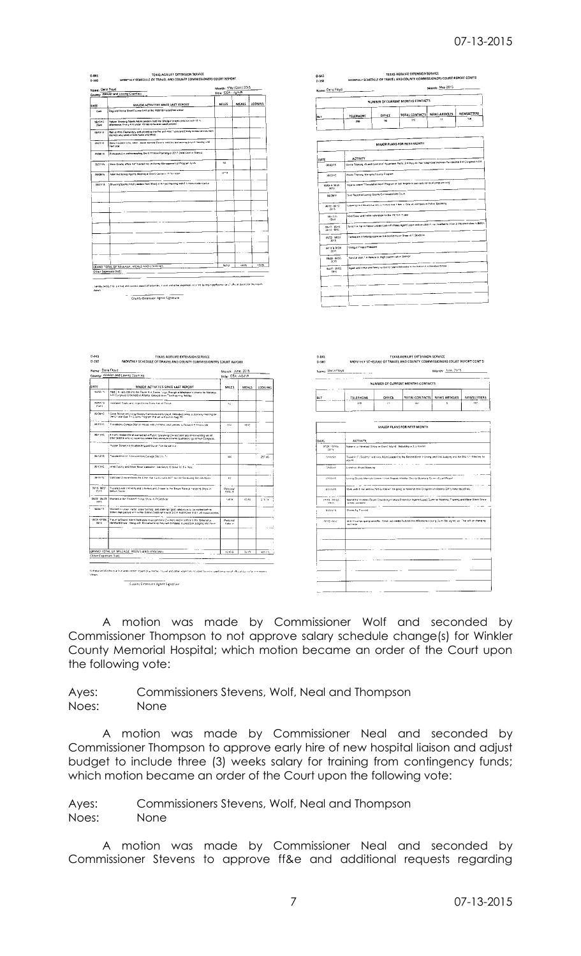| <b>Name: Dana Floyd</b>                                                                                                 |                                                                                                                                                                                                                 | Manth: May (Cont) 2015    |                   |            |         |
|-------------------------------------------------------------------------------------------------------------------------|-----------------------------------------------------------------------------------------------------------------------------------------------------------------------------------------------------------------|---------------------------|-------------------|------------|---------|
|                                                                                                                         | County: Winkler and Loving Counties                                                                                                                                                                             | Title: CEA - Ag/NR        |                   |            |         |
| DATE                                                                                                                    | MAIOR ACTIVITIES SINCE LAST REPORT                                                                                                                                                                              | MILES                     | <b>MEALS</b>      | LODGING    |         |
| CoM                                                                                                                     | Regional Horse Short Course held all the Vidland Horseshoe arent                                                                                                                                                |                           |                   |            |         |
| 15/12/15<br>Sunt                                                                                                        | .<br>Hydyan Shooling Sports Adivi Leaderx hold linii Sholgun preject priklic <i>e wit</i> h 12 in<br>attendence, Frany 4 H under 15 høy (o flivel en adult presen)                                              |                           |                   |            |         |
| 06/19:15                                                                                                                | Ran is Wink Florientary and placed up the Pre and Post Tests and Eksay completenines be<br>the lists who weel to Kids Novel and More                                                                            |                           |                   |            |         |
|                                                                                                                         |                                                                                                                                                                                                                 |                           |                   |            |         |
| 050215                                                                                                                  | Dans Vacation Day, Adult Leaser Melody Daniels held the last seving pricent meeting until<br>ent year                                                                                                           |                           |                   |            |         |
| 05/20/15                                                                                                                | Pertcapated in ordina mesting Del 6 TCAAA Planning of 2017 State Cont in Operad                                                                                                                                 |                           |                   |            |         |
| 35/27/15                                                                                                                | Ware Coatay office staff trained me on Manay Monagement of Program functi                                                                                                                                       | 46                        |                   |            |         |
| 01/28/10                                                                                                                | specied Spring Agents Meeting at Dist & Canter or Pr Stocklost                                                                                                                                                  | 147.4                     |                   |            |         |
|                                                                                                                         | Shudung Sports Avail Leaders Hatc Shorgun Pinyaci Mexing with 8 4-Hors in alle roarive                                                                                                                          |                           |                   |            |         |
| assims                                                                                                                  |                                                                                                                                                                                                                 |                           |                   |            |         |
|                                                                                                                         |                                                                                                                                                                                                                 |                           |                   |            |         |
|                                                                                                                         |                                                                                                                                                                                                                 |                           |                   |            |         |
|                                                                                                                         |                                                                                                                                                                                                                 |                           |                   |            |         |
|                                                                                                                         |                                                                                                                                                                                                                 |                           |                   |            |         |
|                                                                                                                         |                                                                                                                                                                                                                 |                           |                   |            |         |
|                                                                                                                         |                                                                                                                                                                                                                 |                           |                   |            |         |
|                                                                                                                         |                                                                                                                                                                                                                 |                           |                   |            |         |
|                                                                                                                         |                                                                                                                                                                                                                 |                           |                   |            |         |
|                                                                                                                         | GRAND TOTAL OF MILEAGE, MEALS AND LOUG' NO                                                                                                                                                                      | $9602$ $+$                | 49.05             | $1 - 1008$ |         |
|                                                                                                                         | Other Expenses (list):                                                                                                                                                                                          |                           | ÷.                |            |         |
|                                                                                                                         | bettly testily this subject and correct report of activities, invised other dependes incomed by mean performance of official duces for the month                                                                |                           |                   |            |         |
|                                                                                                                         |                                                                                                                                                                                                                 |                           |                   |            |         |
|                                                                                                                         |                                                                                                                                                                                                                 |                           |                   |            |         |
|                                                                                                                         | TEXAS AGRILIFE EXTENSION SERVICE<br>MONTHLY SCHEDULE OF TRAVEL AND COUNTY COMMISSIONERS COURT RÉPORT                                                                                                            |                           |                   |            |         |
|                                                                                                                         |                                                                                                                                                                                                                 |                           | Month: June, 2015 |            |         |
|                                                                                                                         | County: Winkler and Loving Counties                                                                                                                                                                             |                           | Title: CEA-AGINR  |            |         |
|                                                                                                                         | MAJOR ACTIVITIES SINCE LAST REPORT                                                                                                                                                                              | MILES                     |                   | MEALS      | LODGING |
|                                                                                                                         | Had 3 4 mers dall'into the Taxie 4 et Center to go (Nexugit a telephone interverse loi National<br>4 H Cungress to be hald in Allania, Georgia diver Thenksgiving Holiday.                                      |                           |                   |            |         |
|                                                                                                                         | reliated Soats and -mgs for the State Fair of Toxus                                                                                                                                                             | $\mathbf{c}_{\mathbf{d}}$ |                   |            |         |
|                                                                                                                         |                                                                                                                                                                                                                 |                           |                   |            |         |
|                                                                                                                         | .<br>  Gave Report as Linking County Caroni stianors Court, Attended online a sterring meeting for<br>  Pie Criand Gas Th Growly Pregram that we will put on Aug 7th                                            |                           |                   |            |         |
|                                                                                                                         | Traveled to College Starton Fessas with 2.4 Hercuing symbes is. Texas 4 M Round Up                                                                                                                              | boa.                      | 19.03             |            |         |
|                                                                                                                         | .<br>14-Fers Hesten Doran competed in Public Spelaring Contest and take that relenting we all.<br>18 fember the entire, assembly wome they announced who qualified to go to Nuti Congress.                      |                           |                   |            |         |
|                                                                                                                         | festor Doran kill be attending and Sarah Tunities without                                                                                                                                                       |                           |                   |            |         |
| (Suit)                                                                                                                  |                                                                                                                                                                                                                 |                           |                   |            |         |
| $D-843$<br>$D - 360$<br>Name: Dena Floyd<br>DATE<br>06/02/15<br>95.07/3<br>06/08/15<br>05/15/15<br>06/12/15<br>05/12/15 | Traveled Holte in Kenna from College Station, TV                                                                                                                                                                | <b>SCA</b>                |                   |            | 257.06  |
| 86-10/15                                                                                                                | Hold County and State Steer Validation, Validation 10 Steel for 6.4 Hers.                                                                                                                                       |                           |                   |            |         |
| 364445                                                                                                                  | Validated 2 more steels for 4 Her digit liading take ACT test on Salidoing first validation                                                                                                                     | $\alpha$                  |                   |            |         |
|                                                                                                                         |                                                                                                                                                                                                                 |                           |                   |            |         |
| 2015                                                                                                                    | Traveled with 2.4 Hors and 5 hereins and 2 years to the Texas Stock at Heleford Show in<br>Bellun Texas                                                                                                         | Personal<br>Venule.       |                   |            |         |
|                                                                                                                         | Worked at the District 4 Horse Show in Fr Steelate                                                                                                                                                              | 144.6                     | $40\,M$           |            | \$14.14 |
|                                                                                                                         |                                                                                                                                                                                                                 |                           |                   |            |         |
|                                                                                                                         | tWinterd von Steen, Auster, whate faur hing, and a late rain gross validations, ho die marked betrive.<br>Dúthim Ingik pielwie verm 4-Hei Katkleri Sierlich wird want Srd in Kado Kowa and hil und saasar conte |                           |                   |            |         |
| 2415                                                                                                                    | Travet la Grand Island Nighraska i o accompany 2 4 Mers and 4 nofins stillte "Ashonal ui.<br>Metaford Show - Along with Siriowmanship they will compase in Livercock Judging and naive                          | Personal<br>Veniu v       |                   |            |         |
| 3615-0621<br>06/22 06/23<br>56/24/15<br>08/25 07:06<br>2015                                                             |                                                                                                                                                                                                                 |                           |                   |            |         |
|                                                                                                                         |                                                                                                                                                                                                                 |                           |                   |            |         |
|                                                                                                                         |                                                                                                                                                                                                                 |                           |                   |            |         |
| Other Expenses (list)                                                                                                   | GRAND IOTAL OF MILEAGE, MEALS AND LODGING.                                                                                                                                                                      | 12.058                    |                   | 06.29      | 50123   |

A motion was made by Commissioner Wolf and seconded by Commissioner Thompson to not approve salary schedule change(s) for Winkler County Memorial Hospital; which motion became an order of the Court upon the following vote:

Ayes: Commissioners Stevens, Wolf, Neal and Thompson Noes: None

A motion was made by Commissioner Neal and seconded by Commissioner Thompson to approve early hire of new hospital liaison and adjust budget to include three (3) weeks salary for training from contingency funds; which motion became an order of the Court upon the following vote:

Ayes: Commissioners Stevens, Wolf, Neal and Thompson Noes: None

A motion was made by Commissioner Neal and seconded by Commissioner Stevens to approve ff&e and additional requests regarding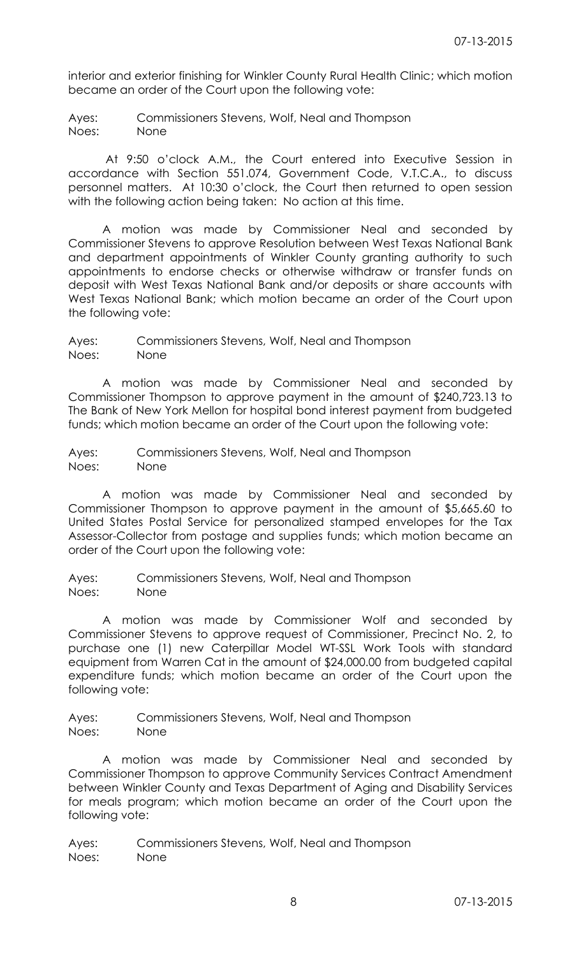interior and exterior finishing for Winkler County Rural Health Clinic; which motion became an order of the Court upon the following vote:

Ayes: Commissioners Stevens, Wolf, Neal and Thompson Noes: None

At 9:50 o'clock A.M., the Court entered into Executive Session in accordance with Section 551.074, Government Code, V.T.C.A., to discuss personnel matters. At 10:30 o'clock, the Court then returned to open session with the following action being taken: No action at this time.

A motion was made by Commissioner Neal and seconded by Commissioner Stevens to approve Resolution between West Texas National Bank and department appointments of Winkler County granting authority to such appointments to endorse checks or otherwise withdraw or transfer funds on deposit with West Texas National Bank and/or deposits or share accounts with West Texas National Bank; which motion became an order of the Court upon the following vote:

Ayes: Commissioners Stevens, Wolf, Neal and Thompson Noes: None

A motion was made by Commissioner Neal and seconded by Commissioner Thompson to approve payment in the amount of \$240,723.13 to The Bank of New York Mellon for hospital bond interest payment from budgeted funds; which motion became an order of the Court upon the following vote:

Ayes: Commissioners Stevens, Wolf, Neal and Thompson Noes: None

A motion was made by Commissioner Neal and seconded by Commissioner Thompson to approve payment in the amount of \$5,665.60 to United States Postal Service for personalized stamped envelopes for the Tax Assessor-Collector from postage and supplies funds; which motion became an order of the Court upon the following vote:

Ayes: Commissioners Stevens, Wolf, Neal and Thompson Noes: None

A motion was made by Commissioner Wolf and seconded by Commissioner Stevens to approve request of Commissioner, Precinct No. 2, to purchase one (1) new Caterpillar Model WT-SSL Work Tools with standard equipment from Warren Cat in the amount of \$24,000.00 from budgeted capital expenditure funds; which motion became an order of the Court upon the following vote:

Ayes: Commissioners Stevens, Wolf, Neal and Thompson Noes: None

A motion was made by Commissioner Neal and seconded by Commissioner Thompson to approve Community Services Contract Amendment between Winkler County and Texas Department of Aging and Disability Services for meals program; which motion became an order of the Court upon the following vote: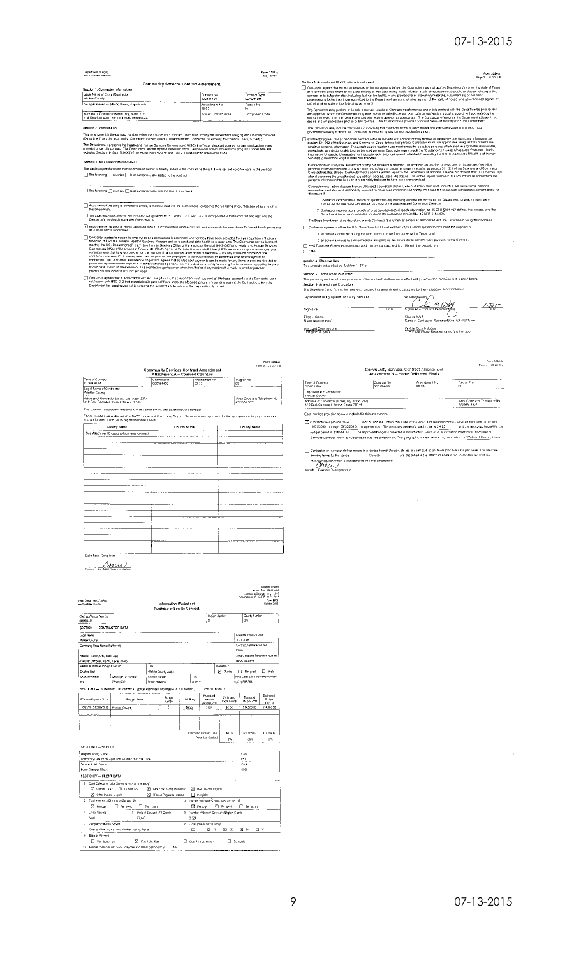### 07-13-2015

 $\begin{array}{c} \textbf{Form 3254-A}\\ \textbf{Page 2 + 05-2015-F} \end{array}$ 

 $\hat{A}$ 

#### **Department of Aging**<br>and Disamble Services

#### Form 3254-4<br>May 2015-6

| Legal Name of Entity (Contractor)                                                               | Contract No.                  | Contract Type     |
|-------------------------------------------------------------------------------------------------|-------------------------------|-------------------|
| Winkler County<br>$\cdots$                                                                      | 000194400                     | CCAO HDM          |
| Do no Business As (dio a) Name, if applicable                                                   | Amendment No.<br><b>DG.33</b> | Redion No<br>los. |
| Address of Contractor (street, city, state, ZIP).<br>419 East Campbell, Kermit, Texas 79745XXXX | Warren Estatraci Area         | Companent Cade    |

This amendment to the contract number referenced above (the "confract") is entened into by the Department of Aging and Disability Services.<br>(Department) and the legal entity (Contractor) named above (Department and Contrac The Department represents the Health and Human Services Commission (HHSC), the Texas Medicaid sgency, for any Medicaid services<br>provedid under this contract, The Ospitmont, as the representative for HHSC, winning the commu

Section 3. Amendment Modifications

oerouvrs . Amerianism anderications<br>The parties agree that each martiad provision below is frontby added to the contract as though it was set out word-for-mord in the currisot<br>|...] The fotowing [ ] courting [ ] local mut

[1] The forcing [1] courties [1] local authorities are deleted from the contract

Attachment A (relating to covered countles) is incorporated into the contact and recreaserts the full letting of countles served as a result of<br>this emerginent [1] The attached Form 3691-A, Sevece Area Designation HCS, Turknit, CDC and TAS, is incorporated into the contract and replaces the Contract and replaces the

a stachment 8 (relating to Home Delivered Meals) is incorporated into the contractivisitie move factors. Home Delivered Meals provisions and

Controllar super to science his emotioyees and contracted by determine when they have been excluded from particular to the motiover and the set of the set of the set of the set of the set of the set of the set of the set o

יר (Contactor agrees that in accordance with 42 CFR §455 23, the Department stati supports all technique payments to the Contractor upon<br>Horshcare by HHSC-OIG that a creation all agrabical of mending the Modicale payment

.<br>20 3. Ar Bection 3. Americanes filosofices (contribue) in program to be contrador must not use the Dosatment's name, the state of Texas<br>(C) Contrador agrees that extension to be a maximized to approximate the proposition of project un' of another able of the festival poemericals.<br>The Contraction may publish at its sole experies results of Contractor performance and the source with the Oepa sheets prior respectively. The Contraction of the contraction  $\Box$  Contractor agrees that as pair of its perfirsed with the Department. Convactor may receive or dreate act in the motion of the monotonic state in the motion of the monotonic state in the motion of the motion of the mo sa una<br>Health<br>Human

verteurs comments may te move interest of the government of suppended insufference subjection, access use or discognize of sensitive<br>personal manifolds the movement of the conduction of the second of system security, as se person in minimatorias been on 1 espondary between the exercutarismman.<br>Contrador musillative declose the unauthorized acquebon, access, use ar disclosure to auch individual whose sereches<br>disclosure in a been or a reagona

1. Contractor experiences a breadn of system security involving information exised by the Department for which disclosure of<br>- notification is required under section 521.053 of the Buscress and Commerce Coder or

1. Contacts externiones a steador of system security motivity demonstrations of the Department for which discounts of the production in the contact and the background of the production of the production of the production o

the control of the control of the control of

Section 4. Effective Date<br>This amendment is effective: October 1, 2015

This amendment is electric location 1,000<br>The paints agree hard in Biffet<br>The paints agree hard all other provisions of the contract shall remains elterd govern exited mosters in the amendment.<br>The paints agree hat all oth

| Department of Aging and Disability Services     |      | Winkler County                                                           | $Z\partial V$ |
|-------------------------------------------------|------|--------------------------------------------------------------------------|---------------|
| Signakire                                       | Date | Signature - Contract Reprosentativn                                      | Dale          |
| Flise J. Gards<br>Name (punt or type)           |      | Channel Welf<br>Name of Contractor Representative Tornition type)        |               |
| Assistant Commissione:<br>Title (print or type) |      | Winklar County Judge<br>"Telo" Contractor Representative (pilot or type) |               |

|                                                                                                                                                                                                   |              |                                                                                        | Form 3254-A                                 |
|---------------------------------------------------------------------------------------------------------------------------------------------------------------------------------------------------|--------------|----------------------------------------------------------------------------------------|---------------------------------------------|
|                                                                                                                                                                                                   |              |                                                                                        | Face 3 / 05/2019-5                          |
|                                                                                                                                                                                                   |              | <b>Community Services Contract Amendment</b><br><b>Attachment A - Covered Counties</b> |                                             |
| Type of Contract                                                                                                                                                                                  | Contract No. | Amendment No.                                                                          | Region No.                                  |
| CCAD HDM                                                                                                                                                                                          | 00018420     | 03-32                                                                                  | 05                                          |
| Legal Name of Contractor<br>Winkler County                                                                                                                                                        |              |                                                                                        |                                             |
| Address of Contractor (street, city, state, ZIP).<br>419 East Comptool, Kennit, Texas 78746.                                                                                                      |              |                                                                                        | Area Code and Telephone No.<br>432/585-3631 |
| The count es lated below, effective with this amendment, are covered by the contract                                                                                                              |              |                                                                                        |                                             |
|                                                                                                                                                                                                   |              |                                                                                        |                                             |
| These counties are on file with the DADS Home and Community Support Services, idensiting vision for the appropriate citiesory of Joensure.<br>and are located in the DADS region specified above. |              |                                                                                        |                                             |
|                                                                                                                                                                                                   |              |                                                                                        |                                             |
| County Name                                                                                                                                                                                       |              | County Name                                                                            | County Name                                 |
| (Son Attechment B-geographical area covered)                                                                                                                                                      |              |                                                                                        |                                             |
|                                                                                                                                                                                                   |              |                                                                                        |                                             |
|                                                                                                                                                                                                   |              |                                                                                        |                                             |
|                                                                                                                                                                                                   |              |                                                                                        |                                             |
|                                                                                                                                                                                                   |              |                                                                                        |                                             |
|                                                                                                                                                                                                   |              | $\sim$                                                                                 | $\sim$ 100 $\pm$                            |
|                                                                                                                                                                                                   |              |                                                                                        |                                             |
|                                                                                                                                                                                                   |              |                                                                                        |                                             |
|                                                                                                                                                                                                   |              |                                                                                        |                                             |
|                                                                                                                                                                                                   |              |                                                                                        |                                             |
|                                                                                                                                                                                                   |              |                                                                                        |                                             |
|                                                                                                                                                                                                   |              |                                                                                        |                                             |
|                                                                                                                                                                                                   |              |                                                                                        |                                             |
|                                                                                                                                                                                                   |              |                                                                                        |                                             |
|                                                                                                                                                                                                   |              |                                                                                        |                                             |
|                                                                                                                                                                                                   |              |                                                                                        |                                             |
|                                                                                                                                                                                                   |              |                                                                                        |                                             |
|                                                                                                                                                                                                   |              |                                                                                        |                                             |
|                                                                                                                                                                                                   |              |                                                                                        |                                             |
|                                                                                                                                                                                                   |              |                                                                                        |                                             |
|                                                                                                                                                                                                   |              |                                                                                        |                                             |
|                                                                                                                                                                                                   |              |                                                                                        |                                             |
|                                                                                                                                                                                                   |              |                                                                                        |                                             |

Indian - Confland Reprogramative

| lesas Desartment of Aging<br>unt Deabley Servens |                                                                                |                | Information Worksheet      | Purchase of Service Contract |                                             |                                 |                           | Vendor No. 03/124408<br>Contract Effective, 10 03 1999<br>Amendment 09:33, Eff 10-01-2015<br>Form 7079<br>Coteta 2002 |
|--------------------------------------------------|--------------------------------------------------------------------------------|----------------|----------------------------|------------------------------|---------------------------------------------|---------------------------------|---------------------------|-----------------------------------------------------------------------------------------------------------------------|
| Contractivendor Number                           |                                                                                |                |                            |                              |                                             | Region Number                   | Counte Number             |                                                                                                                       |
| 000186400                                        |                                                                                |                |                            |                              | - 59                                        |                                 | 248                       |                                                                                                                       |
| SECTION I - CONTRACTOR DATA                      |                                                                                |                |                            |                              |                                             |                                 |                           |                                                                                                                       |
| Lecal Name                                       |                                                                                |                |                            |                              |                                             |                                 | Contract Effective Date   |                                                                                                                       |
| <b>Wakier County</b>                             |                                                                                |                |                            |                              |                                             |                                 | 10-01-1999                |                                                                                                                       |
| Commonly Used Name (il offerent)                 |                                                                                |                |                            |                              |                                             |                                 | Contract Terminalism Date |                                                                                                                       |
|                                                  |                                                                                |                |                            |                              |                                             |                                 | Dom                       |                                                                                                                       |
| Address (Street, City, State, Zip)               |                                                                                |                |                            |                              |                                             |                                 |                           | Area Code and Telephone Number                                                                                        |
| 419 East Carrobell, Kermi, Texas 79746.          |                                                                                |                |                            |                              |                                             |                                 | (432) 586-6658            |                                                                                                                       |
| Person Authorized to Sign Costract               |                                                                                | Title          |                            |                              |                                             | <b>Oenersnin</b>                |                           |                                                                                                                       |
| Charles Wolf                                     |                                                                                |                | Wakler County Judge        |                              |                                             | R PuNc                          | Non-craft                 | Profil<br>п                                                                                                           |
| Charter Murabes                                  | Employer D Number                                                              | Cortact Person |                            | Tille                        |                                             |                                 |                           | Area Code and Telephone Number                                                                                        |
| N/A                                              | 756001232                                                                      | Ronic Hawkins  |                            | Diester                      |                                             |                                 | 1 (432) 585 3631          |                                                                                                                       |
|                                                  | SECTION II - SUMMARY OF PAYMENT (Enter estimated information in this section 1 |                |                            |                              | 17560910656013                              |                                 |                           |                                                                                                                       |
| Effective Parment Dates                          | <b>But te: Name</b>                                                            |                | <b>Bu</b> stell<br>Manther | <b>Unit Rate</b>             | <b>Fshmared</b><br>Number<br>Elicible Units | Estimated<br><b>Local Funds</b> | Estmated<br>BADS Funds    | Estimated<br>Budget<br>Amount                                                                                         |
| 10/01/2015 09/30/2016                            | Weker County                                                                   |                | ēt.                        | \$4.95                       | 3.024                                       | \$0.00                          | \$14,056.80               | \$14,963.50                                                                                                           |
|                                                  |                                                                                |                |                            |                              |                                             |                                 |                           |                                                                                                                       |
|                                                  |                                                                                |                |                            |                              |                                             |                                 |                           |                                                                                                                       |
|                                                  |                                                                                |                |                            |                              |                                             |                                 |                           |                                                                                                                       |
|                                                  |                                                                                |                |                            |                              | Estimated Contract Total                    | \$0.00                          | \$14,968.82               | \$14,938.83                                                                                                           |
|                                                  |                                                                                |                |                            |                              | Percent of Contract                         |                                 |                           |                                                                                                                       |
|                                                  |                                                                                |                |                            |                              |                                             | C%                              | <b>BIA</b>                | 102%                                                                                                                  |
| SECTION III - SERVICE                            | .                                                                              |                |                            |                              |                                             |                                 |                           |                                                                                                                       |

| Program Activity Name                                                        | Code                                                |
|------------------------------------------------------------------------------|-----------------------------------------------------|
| Community Care for the Aged and Usable : In-Home Care                        | est<br>.                                            |
| Senice Activity Vame                                                         | Code                                                |
| Home Dewered Meals                                                           | CEG.                                                |
| SECTION IV - CLIENT DATA                                                     |                                                     |
| C-sin) Calegories to be Served (check all that apply)                        |                                                     |
| <b>R</b> Current SSI<br><b>X</b> Current TANE<br>23 NPA Foto Statin Register | 2d MAO Income Etalble                               |
| 2 Citier Income L'Igilie<br>2 Witnoct Pagard to income                       | In-sights<br>п.                                     |
| ÷<br>Total 'Aumber of Client to he Served' At                                | 3 Auchter of Eiligible Cuents to be Served 12       |
| □ Perweek<br>⊠ Perday<br>$\Box$ Per monto                                    | <b>S</b> Perday<br>⊡ Perseay.<br>Permanin,<br>U.    |
| uns of Service<br>5 Units of Service is All Crenis<br>đ                      | Number of Units of Service to Eligible Clients.     |
| 23,448<br>Vast                                                               | 0.024                                               |
| Geographical Area Served                                                     | Goals (check all mal apply)<br>ñ.                   |
| Cities of Wind and Karmil of Winkler Douglie, Texas.                         | 51<br>o<br>71 IV<br>ГI Y<br>n<br>$\mathbf{u}$<br>n: |
| 9<br>Basis of Payment                                                        |                                                     |
| E Footbekks<br>Reimbursemera                                                 | E Cust Femoursement<br>Schoole                      |
| Estimated Anguation Co-Pay (day cars and lamily planned mus-<br>tes.<br>13   |                                                     |

Form 3254-A<br>- Page 4 + 15 2015 L **Community Services Contract Amendment**<br>Attachment B - Home Delivered Meals  $Rugar Ro$  $\boxed{\begin{array}{l} \text{Contracti No} \\ \text{QCD1 B4460} \end{array}}$ Type of Contr<br>CCAD HDM - "Aircridinent No<br>09:33 CCAD HOM<br>Lega: Name of Contractor<br>Vinkier County<br>Address of Contractor (stre

Address of Contractor (street, city, state, ZIP)<br>419 East Campbell, Kermit, Texas 79745  $\overline{\phantom{a}}$ .<br>Each marked provision below is included in this att

(2) Contracts will provide 3,024 compared Tick XX Contractly Cara for the Agad and DasbledViorie Delivated Morbi by the principle of the State of the State of the State of the State of the State of the State of the State o

C Contractor will serve or deliver meals in a formals format thosen, chiled of shot-topics or fixed that first advance of the affective of the affective of the affective of the affective of the affective of the affective o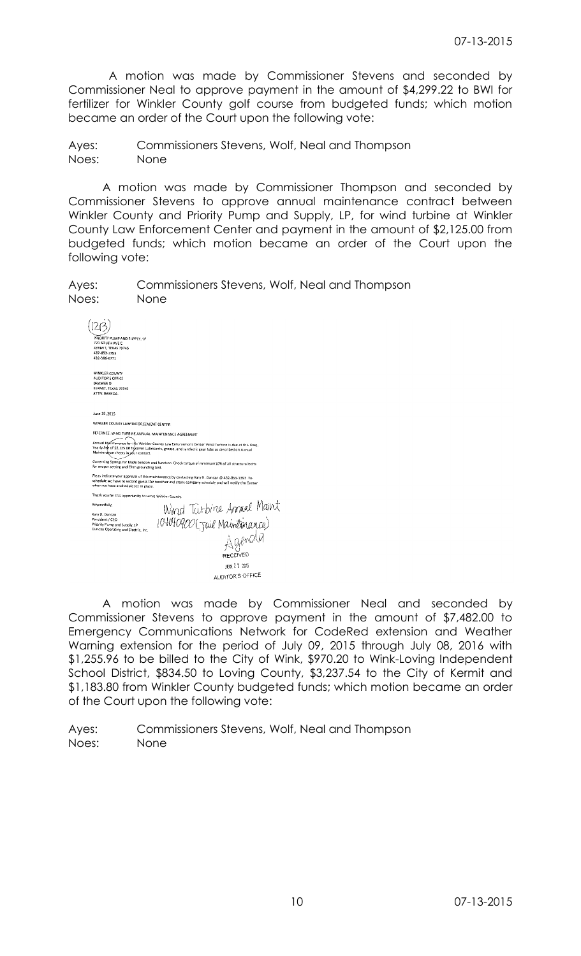A motion was made by Commissioner Stevens and seconded by Commissioner Neal to approve payment in the amount of \$4,299.22 to BWI for fertilizer for Winkler County golf course from budgeted funds; which motion became an order of the Court upon the following vote:

Ayes: Commissioners Stevens, Wolf, Neal and Thompson Noes: None

A motion was made by Commissioner Thompson and seconded by Commissioner Stevens to approve annual maintenance contract between Winkler County and Priority Pump and Supply, LP, for wind turbine at Winkler County Law Enforcement Center and payment in the amount of \$2,125.00 from budgeted funds; which motion became an order of the Court upon the following vote:

| Ayes: | Commissioners Stevens, Wolf, Neal and Thompson |
|-------|------------------------------------------------|
| Noes: | None                                           |

| PRIORITY PUMP AND SUPPLY, LP                                                                                                                                                                                                                      |
|---------------------------------------------------------------------------------------------------------------------------------------------------------------------------------------------------------------------------------------------------|
| 721 SOUTH AVE C.<br>KERMIT, TEXAS 79745                                                                                                                                                                                                           |
| 432-853-1393                                                                                                                                                                                                                                      |
| 432-586-6771                                                                                                                                                                                                                                      |
| WINKLER COUNTY                                                                                                                                                                                                                                    |
| <b>AUDITOR'S OFFICE</b>                                                                                                                                                                                                                           |
| DRAWER O                                                                                                                                                                                                                                          |
| KERMIT, TEXAS 7974S<br>ATTN: BRENDA.                                                                                                                                                                                                              |
|                                                                                                                                                                                                                                                   |
|                                                                                                                                                                                                                                                   |
| June 19, 2015                                                                                                                                                                                                                                     |
| WINKLER COUNTY LAW ENFORCEMENT CENTER                                                                                                                                                                                                             |
| REFERNCE: WIND TURBINE ANNUAL MAINTENANCE AGREEMENT                                                                                                                                                                                               |
| Annual MaChtenance for the Winkler County Law Enforcement Center Wind Turbine is due at this time.<br>Yearly Fee of \$2,125.00 to cover Lubricants, grease, and synthetic gear fube as described on Annual<br>Maintenance sheets in your contact. |
| Governing Springs for blade tension and function. Check torque of minimum 10% of all structural botts<br>for oroper setting and Ohm grounding bed.                                                                                                |
| Pleas indicate your approval of this maintenance by contacting Kary R. Duncan @ 432-853-1393. To<br>schedule we have to second guess the weather and crane company schedule and will notify the Center<br>when we have a schedule set in olace.   |
| Thank you for this apportunity to serve Winkler County.                                                                                                                                                                                           |
| Wind Turbine Annual Maint<br>04040900(Juil Maintenance)<br>Agenola<br>Respectfully.                                                                                                                                                               |
| Kary R. Duncan<br>Persident / CEO                                                                                                                                                                                                                 |
| Priority Pump and Supply, LP                                                                                                                                                                                                                      |
| Duncan Operating and Electric, Inc.                                                                                                                                                                                                               |
|                                                                                                                                                                                                                                                   |
| RECEIVED                                                                                                                                                                                                                                          |
| JUN 2 2 2015                                                                                                                                                                                                                                      |
| <b>AUDITOR'S OFFICE</b>                                                                                                                                                                                                                           |

A motion was made by Commissioner Neal and seconded by Commissioner Stevens to approve payment in the amount of \$7,482.00 to Emergency Communications Network for CodeRed extension and Weather Warning extension for the period of July 09, 2015 through July 08, 2016 with \$1,255.96 to be billed to the City of Wink, \$970.20 to Wink-Loving Independent School District, \$834.50 to Loving County, \$3,237.54 to the City of Kermit and \$1,183.80 from Winkler County budgeted funds; which motion became an order of the Court upon the following vote: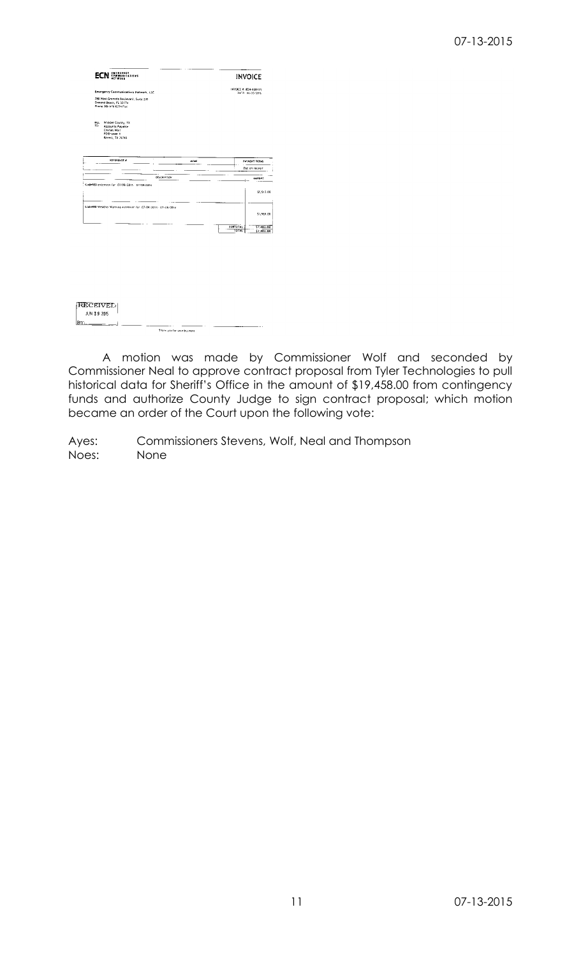# 07-13-2015

| EMERGENCY<br>ECI<br>COMMUNICATIONS<br>Network                                                                                 |               | <b>INVOICE</b>                                       |  |  |
|-------------------------------------------------------------------------------------------------------------------------------|---------------|------------------------------------------------------|--|--|
| Emergency Communications Network, LLC                                                                                         |               | INVOICE #: ECN-020171<br>DATE: 06/23/2015            |  |  |
| 780 West Granada Boutevard, Suite 200<br>Ormond Beach, FL 32174<br>Phone 386-676-6294 Pax                                     |               |                                                      |  |  |
| <b>BILL</b><br>Winkler County, TX<br>TO:<br><b>Accounts Pavable</b><br><b>Charles Worf</b><br>PD Drawer Y<br>Kernst, TX 79745 |               |                                                      |  |  |
| <b>REFERENCE #</b>                                                                                                            | <b>ALCAND</b> | PAYMENT TERMS                                        |  |  |
|                                                                                                                               |               | Due on receipt                                       |  |  |
|                                                                                                                               | DELCRIPTION   | ANDUNT                                               |  |  |
|                                                                                                                               |               |                                                      |  |  |
| CodeRED extension for 07/09/2015 07/08/2016<br>CodeRFD Weathor Warning extension for 07/09/2015 - 07/08/2016                  |               | <b>SUBTOTAL</b><br><b>TDTAL</b>                      |  |  |
|                                                                                                                               |               |                                                      |  |  |
|                                                                                                                               |               |                                                      |  |  |
|                                                                                                                               |               |                                                      |  |  |
| RECEIVED<br><b>JUN 29 2015</b>                                                                                                |               | \$5,513.00<br>\$1,969.00<br>\$7,482.00<br>\$7,482.00 |  |  |

A motion was made by Commissioner Wolf and seconded by Commissioner Neal to approve contract proposal from Tyler Technologies to pull historical data for Sheriff's Office in the amount of \$19,458.00 from contingency funds and authorize County Judge to sign contract proposal; which motion became an order of the Court upon the following vote: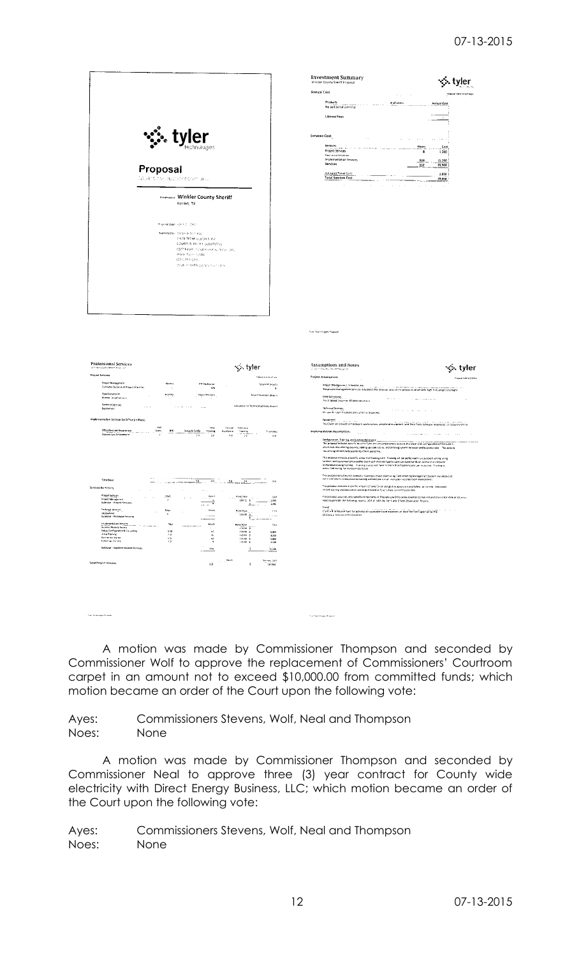Annual Cost

 $\frac{3}{2}$  $\frac{15,280}{16,560}$ 

|                                                                                       |                                                                                                                                                                                                                                                                       |                                                                                                                                                                           | <b>Investment Summary</b><br>Winder County Sneriff Proposal<br>Annual Cost<br>Products $\left\{ \ldots, \ldots, \ldots, \ldots, \ldots \right\}$<br>Rof Brent<br><b>Salarita</b><br>No additional user nest<br><b>License Fees</b> |
|---------------------------------------------------------------------------------------|-----------------------------------------------------------------------------------------------------------------------------------------------------------------------------------------------------------------------------------------------------------------------|---------------------------------------------------------------------------------------------------------------------------------------------------------------------------|------------------------------------------------------------------------------------------------------------------------------------------------------------------------------------------------------------------------------------|
|                                                                                       | er<br>technologies                                                                                                                                                                                                                                                    | Services Cost<br>$\sim$ $\sim$<br>Services<br>service and the contract company of the company of the<br>Project Services<br>Technical Services<br>Implementation Services |                                                                                                                                                                                                                                    |
|                                                                                       | Proposal<br>AQUATE Fort students sofart, price<br>Presence to Winkfer County Sheriff                                                                                                                                                                                  |                                                                                                                                                                           | Services<br>Estimated Travel Costs<br><b>Total Services Cost</b>                                                                                                                                                                   |
|                                                                                       | Kermit, TX<br>Proposed Date: Index F.D., 2015.<br>Superinted by Third is in Share and<br>PER TECHNOLOGIES INC<br>COURTS & HISTORIC SOLUTIONS.<br>6500 listen Sunat Kurkens, Sinter Ltd.<br>Plann Texts (1095)<br>1213144-1390<br>stagic e steliti granyi, co si contr |                                                                                                                                                                           |                                                                                                                                                                                                                                    |
|                                                                                       |                                                                                                                                                                                                                                                                       |                                                                                                                                                                           | "vier "estiminaties Proposal                                                                                                                                                                                                       |
| <b>Protessional Services</b><br>Withfield County Sheeth Rous, Lan<br>Project Services |                                                                                                                                                                                                                                                                       | ∙ुं. tyler<br><b>TORON HOLD STATE</b>                                                                                                                                     | Assumptions and Notes<br>2 Journ Equatic Maint Faquity 4.<br><b>Project Assumptions</b><br>$\sim$                                                                                                                                  |
| <b>Project Management</b><br>Estimated Durat an of Project (Member                    | Months<br><b>PM Bedischen</b><br>-11<br><b>un</b>                                                                                                                                                                                                                     | Tabel in Mite barris                                                                                                                                                      | Project Management, Schedule, etc.<br>The project management being exiliated in this proposal assume the peopositional                                                                                                             |
| Data Conversion<br>Number of Catherina views                                          | Number.<br><b>Hourt Per Cars</b>                                                                                                                                                                                                                                      | Total Conversion (Hosts)                                                                                                                                                  | Data Conversion<br>contract the                                                                                                                                                                                                    |
| Federal Spreag<br><b>Contract</b><br>Dealomer:                                        | <b>Sales And State</b><br>$\sim$ 100 $\mu$                                                                                                                                                                                                                            | Adovator for Technical Services (Hours)                                                                                                                                   | Fris dioposal zusames NO data conversion<br><b>Technical Services</b><br><b>Robert County</b><br>Mo specific castom cations are currently requested.                                                                               |
| implementation Services by D <sup>16</sup> ce (in Days)                               |                                                                                                                                                                                                                                                                       |                                                                                                                                                                           | Equipment<br>The Client wA crowdr all Fardware, workstations, peripheral eco-period, and Third I                                                                                                                                   |
| office/Consent Department<br>Odessey Law Enforcement                                  | A of<br>-neuro<br>Se-tref.<br>Users<br>.958.<br>Situa & Config<br>Trasme<br>Ashtente<br>$\mathbf{r}$<br>$\overline{\phantom{a}}$<br>2.0<br>15.0                                                                                                                       | formato<br>Total Dass<br>$-\frac{1}{2}$<br>13.6                                                                                                                           | Implementation Assumptions<br>$\alpha$ , $\beta$ , $\beta$<br>$\sim$<br>$\alpha$ - $\alpha$ - $\alpha$                                                                                                                             |

|                                                         |                              |        |                                 |                                  |                            |                          | The p         |
|---------------------------------------------------------|------------------------------|--------|---------------------------------|----------------------------------|----------------------------|--------------------------|---------------|
|                                                         |                              |        |                                 |                                  |                            |                          | whe           |
|                                                         |                              |        |                                 |                                  |                            |                          | <b>TOESN</b>  |
|                                                         |                              |        |                                 |                                  |                            |                          | <b>This</b>   |
|                                                         |                              |        |                                 |                                  |                            |                          | sagin         |
|                                                         |                              |        |                                 |                                  |                            |                          | work          |
|                                                         |                              |        |                                 |                                  |                            |                          | conce         |
|                                                         |                              |        |                                 |                                  |                            |                          | Tas p         |
| <b>Total Days</b>                                       |                              |        | ÷.<br>---<br><b>SILVER</b>      | 20                               | 50<br>$.1$ .               | 13.6                     | more          |
| by Activity                                             |                              |        |                                 |                                  |                            |                          | This p        |
| - 1                                                     |                              |        | ×.                              | $\cdots$                         | ٠                          |                          | on sn         |
| Project Services<br>×                                   | $\sim$ $\sim$<br><b>A</b> 10 | 298    | ×.                              | <b>Configurer</b>                | <b>Relative</b><br>$\sim$  | Cust.                    | This p        |
| Project filteragement                                   |                              | J.     |                                 | ×.                               | 169.00                     | 1,285<br>-5              | note          |
| Subtotal - Project Senages                              |                              |        |                                 | 8<br>$\cdots$                    |                            | 츠<br>1,240<br>$\sim$ 4.4 |               |
|                                                         |                              |        |                                 |                                  |                            |                          | Trave         |
| Technical Services<br>$\mathbf{r}$<br><b>Designment</b> | $\cdots$                     | Days   | ٠                               | Hours                            | <b>Relevenizati</b>        | <b>Cove</b>              | $C_{\rm eff}$ |
| Subtotal - Technical Services                           |                              | ß,     |                                 |                                  | 150.00 \$                  | $\sim$ $-$               | LS C.         |
|                                                         |                              |        |                                 | <b>All Commercial Commercial</b> |                            | Ξ<br><b>Surface</b>      |               |
| intelementation Services                                |                              | 2015   |                                 | <b>Incurre</b>                   | Rote/Host                  | Cast.                    |               |
| Sushiss Plate & Revew                                   |                              | $\sim$ | <b>CONTRACTOR</b> COMPANY CONTR | ٠                                | $-0.000$<br>150.03 \$      | $-11.1$                  |               |
| Setup, Configuration & Co-sulting                       |                              | 5.00   |                                 | 40                               | 15000 \$                   | 5,000                    |               |
| in tell Training                                        |                              | 2.00   |                                 | 16                               | 145.03 \$                  | 7,320                    |               |
| Golden Assets top                                       |                              | $5.06$ |                                 | 43                               | 145.00 \$                  | 5,500                    |               |
| Fellowup Training                                       |                              | 1.35   |                                 | ٠                                | 145 Ou 5                   | 1.160                    |               |
| Subtutul - Implementation Services                      |                              |        |                                 | ٠<br>114                         |                            | $\sim$<br>$\cdots$<br>¢  |               |
|                                                         |                              |        |                                 |                                  |                            | $-2288$<br>-             |               |
|                                                         |                              |        |                                 |                                  |                            |                          |               |
| ainct Services                                          |                              |        |                                 |                                  | MOUT<br>$\alpha = -\alpha$ | Terras, Cast             |               |
|                                                         |                              |        |                                 | 312                              |                            | š.<br>16.560             |               |
|                                                         |                              |        |                                 |                                  |                            |                          |               |
|                                                         |                              |        |                                 |                                  |                            |                          |               |
|                                                         |                              |        |                                 |                                  |                            |                          |               |
|                                                         |                              |        |                                 |                                  |                            |                          |               |

.<br>Teo festereara Fissual

| issumptions and Notes<br>tvler<br>Concert Frank March Happard                                                                                                                                                                     |
|-----------------------------------------------------------------------------------------------------------------------------------------------------------------------------------------------------------------------------------|
| reinet Assumations<br>Processi hard land to their                                                                                                                                                                                 |
| Project Management, Schedule, etc.<br>The company of the company company company when the company                                                                                                                                 |
| The project massagement of notes included in this produce assume the peopled duration with high level around prorective                                                                                                           |
| <b>Data Conversion</b><br>Fris dipposal zusames NO data conversion                                                                                                                                                                |
| Technical Services                                                                                                                                                                                                                |
| No see du rigalitimisations are current sintosected.                                                                                                                                                                              |
| Equipment<br>The Client will crowde all hardware, workstations, peripheral eco-penent, and Third Party Software recurred to run Dows to Online                                                                                    |
| nolementation Assumptions<br>.<br><b>Contract Contract</b>                                                                                                                                                                        |
| Configuration, Training, and Go-Live Assistance<br>The proposal includes specific time for Tyler and yets and transers to assist the Client with configuration of the system.                                                     |
| which includes antining security, tetting up code lick ex, and defining system hengandrand business rules. This activity                                                                                                          |
| resures sendount participation by Clear network-                                                                                                                                                                                  |
| This proposal includes a serioric windust of training term. Training will be performed in a cassroom sitting using                                                                                                                |
| facilities and consument provided by client such that each participant can have hands on access to a computer                                                                                                                     |
| workstation during training. Thereby classes will have no more than a participants per instructor. Therefore is<br>concurred during hoursel basiness hours.                                                                       |
| This proposal assumes that remed a braining is those place is no light reaming knowagement System and additional.                                                                                                                 |
| more complex husiness process training will take plane in an extractor-edictasymom environment                                                                                                                                    |
| This proposal includes a specific amount of time for on site go live assistance and following the ning. Additional                                                                                                                |
| no anticarring and assistance can be purmased at Tyre's University of hourly rate.                                                                                                                                                |
| This proposal assumes only specific remporteries or Ddyssey Law Enforcement will be configured and grave orige Wink or Ceuvily's<br>need to pererate the following reports, UCA 15, UCA 16, Tier 1 and 2 help Observation Reports |
| Travel                                                                                                                                                                                                                            |
| Clent a line mourse Taset for actual and reasonable travel espenses, at least the rates specified by the<br>LS Course Services Administration                                                                                     |

A motion was made by Commissioner Thompson and seconded by Commissioner Wolf to approve the replacement of Commissioners' Courtroom carpet in an amount not to exceed \$10,000.00 from committed funds; which motion became an order of the Court upon the following vote:

 $\hat{\gamma}_{\rm eff}$  and compared a point

Ayes: Commissioners Stevens, Wolf, Neal and Thompson Noes: None

A motion was made by Commissioner Thompson and seconded by Commissioner Neal to approve three (3) year contract for County wide electricity with Direct Energy Business, LLC; which motion became an order of the Court upon the following vote: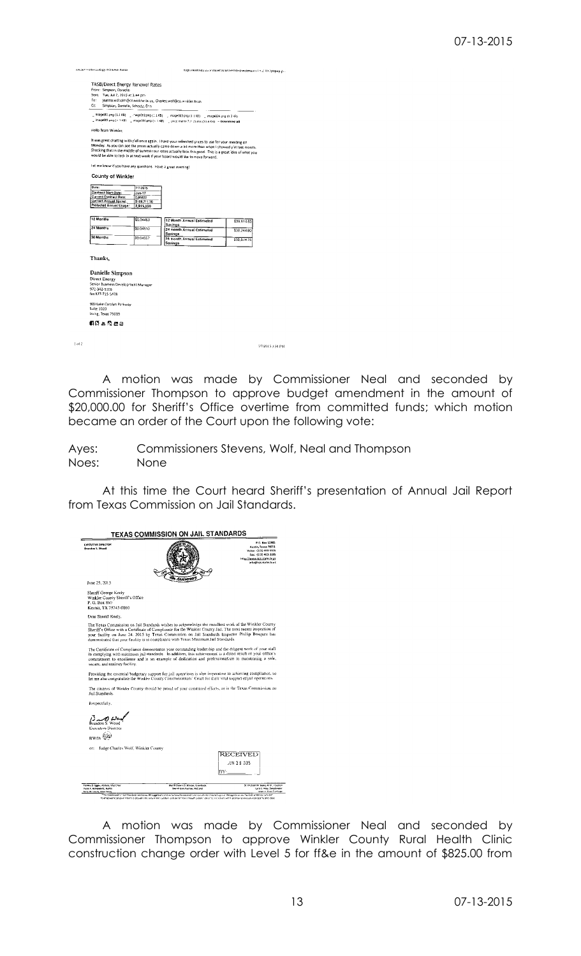| TASB/Direct Energy Renewal Rates                                                                                                                                                         |              |                                                                                                                                                                                                                                                                                                                                                                                                              |                  |
|------------------------------------------------------------------------------------------------------------------------------------------------------------------------------------------|--------------|--------------------------------------------------------------------------------------------------------------------------------------------------------------------------------------------------------------------------------------------------------------------------------------------------------------------------------------------------------------------------------------------------------------|------------------|
|                                                                                                                                                                                          |              |                                                                                                                                                                                                                                                                                                                                                                                                              |                  |
| From: Simpson, Danielle                                                                                                                                                                  |              |                                                                                                                                                                                                                                                                                                                                                                                                              |                  |
| Sent: Tue, Jul 7, 2015 at 3,44 pm                                                                                                                                                        |              |                                                                                                                                                                                                                                                                                                                                                                                                              |                  |
| fo:                                                                                                                                                                                      |              | jeanna.wilnehn@co.winkler.br.us, Charles.wolf@co.winkler.bc.us                                                                                                                                                                                                                                                                                                                                               |                  |
| Cc:<br>Simpson, Danielle, Schootz, Erin                                                                                                                                                  |              |                                                                                                                                                                                                                                                                                                                                                                                                              |                  |
|                                                                                                                                                                                          |              |                                                                                                                                                                                                                                                                                                                                                                                                              |                  |
|                                                                                                                                                                                          |              | . Image001.png (1.1 KB) = . mage002.png (1.1 KB) = . image003.png (1.1 KB) = . image004.png (1.2 KB)                                                                                                                                                                                                                                                                                                         |                  |
|                                                                                                                                                                                          |              | mage005.png (< 1 KB) = image006.png (< 1 KB) = price matrix 7.7 (5.xlsx (51.6 KB) = Download all                                                                                                                                                                                                                                                                                                             |                  |
| Hello Team Winkler.                                                                                                                                                                      |              |                                                                                                                                                                                                                                                                                                                                                                                                              |                  |
|                                                                                                                                                                                          |              | It was great chatting with y'all once again. I have your refreshed prices to use for your meeting on<br>Monday. As you can see the prices actually came down a bit more than when I showed y'all last month.<br>Shocking that in the middle of summer our rates actually look this good. This is a great idea of what you<br>would be able to lock in at next week if your board would like to move forward. |                  |
| Tet me know if you have any questions. Have a great evening!                                                                                                                             |              |                                                                                                                                                                                                                                                                                                                                                                                                              |                  |
|                                                                                                                                                                                          |              |                                                                                                                                                                                                                                                                                                                                                                                                              |                  |
| County of Winkler                                                                                                                                                                        |              |                                                                                                                                                                                                                                                                                                                                                                                                              |                  |
|                                                                                                                                                                                          |              |                                                                                                                                                                                                                                                                                                                                                                                                              |                  |
| Date:                                                                                                                                                                                    | 77/2015      |                                                                                                                                                                                                                                                                                                                                                                                                              |                  |
| <b>Contract Start Date:</b>                                                                                                                                                              | Jun 17       |                                                                                                                                                                                                                                                                                                                                                                                                              |                  |
| Current Contract Rate:                                                                                                                                                                   | 0.05822      |                                                                                                                                                                                                                                                                                                                                                                                                              |                  |
| Current Annual Spend:<br>Projected Annual Usage:                                                                                                                                         | \$169,711.30 |                                                                                                                                                                                                                                                                                                                                                                                                              |                  |
|                                                                                                                                                                                          | 2,915,000    |                                                                                                                                                                                                                                                                                                                                                                                                              |                  |
|                                                                                                                                                                                          |              |                                                                                                                                                                                                                                                                                                                                                                                                              |                  |
| 12 Months                                                                                                                                                                                | \$0.04463    | 12 Month Annual Estimated                                                                                                                                                                                                                                                                                                                                                                                    | \$39,614.85      |
| 24 Months                                                                                                                                                                                | \$0.04510    | Savings                                                                                                                                                                                                                                                                                                                                                                                                      |                  |
|                                                                                                                                                                                          |              | 24 month Annual Estimated<br>Savings                                                                                                                                                                                                                                                                                                                                                                         | \$38,244.80      |
| 36 Months                                                                                                                                                                                | \$0.04557    | <b>36 month Annual Estimated</b>                                                                                                                                                                                                                                                                                                                                                                             |                  |
|                                                                                                                                                                                          |              | Savings                                                                                                                                                                                                                                                                                                                                                                                                      | \$36.874.75      |
|                                                                                                                                                                                          |              |                                                                                                                                                                                                                                                                                                                                                                                                              |                  |
|                                                                                                                                                                                          |              |                                                                                                                                                                                                                                                                                                                                                                                                              |                  |
|                                                                                                                                                                                          |              |                                                                                                                                                                                                                                                                                                                                                                                                              |                  |
| Thanks.<br>Danielle Simpson<br>Direct Energy<br>Senior Business Development Manager<br>972-342-5316<br>fax 377-715-5478<br>909 Lake Carolyn Parkway<br>Suite 1020<br>Irving, Texas 75039 |              |                                                                                                                                                                                                                                                                                                                                                                                                              |                  |
| ជាលីអសិតឆ                                                                                                                                                                                |              |                                                                                                                                                                                                                                                                                                                                                                                                              |                  |
|                                                                                                                                                                                          |              |                                                                                                                                                                                                                                                                                                                                                                                                              | 7/7/2015 3:50 PM |

A motion was made by Commissioner Neal and seconded by Commissioner Thompson to approve budget amendment in the amount of \$20,000.00 for Sheriff's Office overtime from committed funds; which motion became an order of the Court upon the following vote:

Ayes: Commissioners Stevens, Wolf, Neal and Thompson Noes: None

At this time the Court heard Sheriff's presentation of Annual Jail Report from Texas Commission on Jail Standards.

|                                                                                                   | <b>TEXAS COMMISSION ON JAIL STANDARDS</b>                                                                                                                                                                                                                                                                                                                                                                         |                                                                                                                                                     |
|---------------------------------------------------------------------------------------------------|-------------------------------------------------------------------------------------------------------------------------------------------------------------------------------------------------------------------------------------------------------------------------------------------------------------------------------------------------------------------------------------------------------------------|-----------------------------------------------------------------------------------------------------------------------------------------------------|
| <b>EXECUTIVE DIRECTOR</b><br><b>Brandon S. Wood</b>                                               |                                                                                                                                                                                                                                                                                                                                                                                                                   | P.O. Box 12985<br><b>Austin, Texas 76711</b><br>Vaice: (\$121463-5505<br>Fax: (512) 463-3185<br>http://www.krs.state.tr us<br>info@tcjs.state.tx.us |
| June 25, 2015                                                                                     |                                                                                                                                                                                                                                                                                                                                                                                                                   |                                                                                                                                                     |
| Sheriff George Keely<br>Winkler County Sheriff's Office<br>P. O. Box 860<br>Kermit, TX 79745-0860 |                                                                                                                                                                                                                                                                                                                                                                                                                   |                                                                                                                                                     |
| Dear Sheriff Keely,                                                                               |                                                                                                                                                                                                                                                                                                                                                                                                                   |                                                                                                                                                     |
|                                                                                                   | The Texas Commission on Jail Standards wishes to acknowledge the excellent work of the Winkler County<br>Sheriff's Office with a Certificate of Complumee for the Winkler County Jail. The most recent inspection of<br>your facility on June 24, 2015 by Texas Commission on Jail Standards Inspector Phillip Bosquez has<br>demonstrated that your facility is in compliance with Texas Minimum Jail Standards. |                                                                                                                                                     |
| secure, and sanitary facility.                                                                    | The Certificate of Compliance demonstrates your outstanding leadership and the diligent work of your staff<br>in complying with minimum jail standards. In addition, this achievement is a direct result of your office's<br>commitment to excellence and is an example of dedication and professionalism in maintaining a safe.                                                                                  |                                                                                                                                                     |
|                                                                                                   | Providing the essential budgetary support for jail operations is also imperative to achieving compliance, so<br>let me also congratulate the Winkler County Commissioners' Court for their vital support of jail operations.                                                                                                                                                                                      |                                                                                                                                                     |
| Jail Standards.                                                                                   | The citizens of Winkler County should be proud of your combined efforts, as is the Texas Commission on                                                                                                                                                                                                                                                                                                            |                                                                                                                                                     |
| Respectfully.                                                                                     |                                                                                                                                                                                                                                                                                                                                                                                                                   |                                                                                                                                                     |
| andon S. Wood<br>Executive Director<br>вw∧ь <sup>∰</sup>                                          |                                                                                                                                                                                                                                                                                                                                                                                                                   |                                                                                                                                                     |
| Judge Charles Wolf, Winkler County<br>cc:                                                         |                                                                                                                                                                                                                                                                                                                                                                                                                   |                                                                                                                                                     |
|                                                                                                   |                                                                                                                                                                                                                                                                                                                                                                                                                   | RECEIVED<br>JUN 2.9 2015                                                                                                                            |
| Statego Gaser, Abliene, Vice Chair<br>Ireon A. Armendertz, Austin<br>Jerry W. Lowry, New Caney    | Sheriff Dennis D. Wilson, Groesbeck<br>Shervill Gery Paymer, Mid. and                                                                                                                                                                                                                                                                                                                                             | Or. Michael M. Seare, M.D., novition<br>Larry's May, Sweetwater<br>Alan (L. Cam, Cambage                                                            |

A motion was made by Commissioner Neal and seconded by Commissioner Thompson to approve Winkler County Rural Health Clinic construction change order with Level 5 for ff&e in the amount of \$825.00 from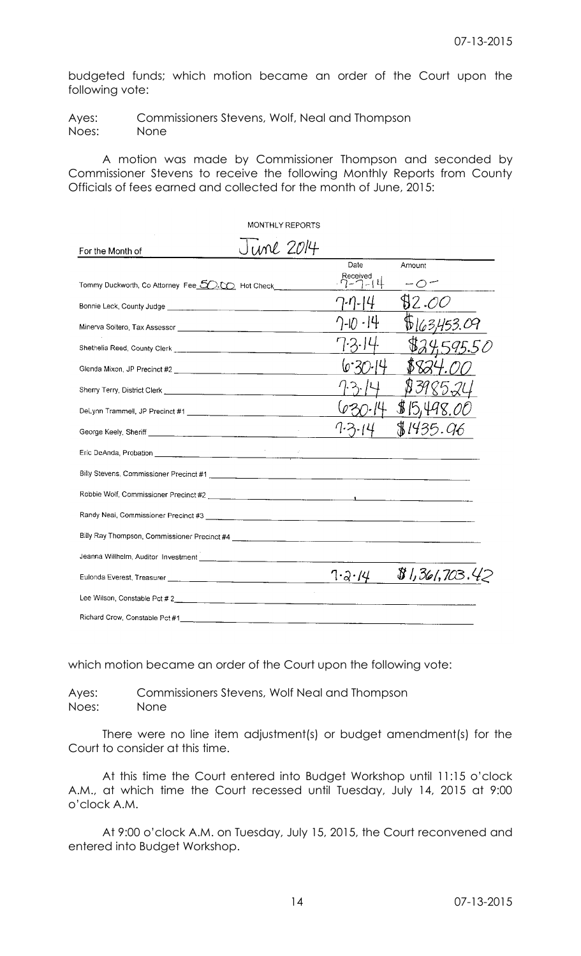budgeted funds; which motion became an order of the Court upon the following vote:

Ayes: Commissioners Stevens, Wolf, Neal and Thompson Noes: None

A motion was made by Commissioner Thompson and seconded by Commissioner Stevens to receive the following Monthly Reports from County Officials of fees earned and collected for the month of June, 2015:

|                                                  |                   | MONTHLY REPORTS |                    |                |
|--------------------------------------------------|-------------------|-----------------|--------------------|----------------|
| For the Month of                                 | J <i>une 2014</i> |                 |                    |                |
|                                                  |                   |                 | Date               | Amount         |
| Tommy Duckworth, Co Attorney Fee 50.00 Hot Check |                   |                 | Received<br> ⊥ ( ↓ |                |
|                                                  |                   |                 |                    | 82.OC          |
|                                                  |                   |                 |                    |                |
|                                                  |                   |                 |                    |                |
|                                                  |                   |                 |                    |                |
|                                                  |                   |                 |                    |                |
|                                                  |                   |                 |                    | \$15,498.      |
|                                                  |                   |                 |                    | \$1435.9       |
|                                                  |                   |                 |                    |                |
|                                                  |                   |                 |                    |                |
| Robbie Wolf, Commissioner Precinct #2            |                   |                 |                    |                |
| Randy Neal, Commissioner Precinct #3             |                   |                 |                    |                |
|                                                  |                   |                 |                    |                |
|                                                  |                   |                 |                    |                |
|                                                  |                   |                 | $7 - 3 \cdot 14$   | \$1,361,703.42 |
| Lee Wilson, Constable Pct # 2                    |                   |                 |                    |                |
|                                                  |                   |                 |                    |                |

which motion became an order of the Court upon the following vote:

Ayes: Commissioners Stevens, Wolf Neal and Thompson Noes: None

There were no line item adjustment(s) or budget amendment(s) for the Court to consider at this time.

At this time the Court entered into Budget Workshop until 11:15 o'clock A.M., at which time the Court recessed until Tuesday, July 14, 2015 at 9:00 o'clock A.M.

At 9:00 o'clock A.M. on Tuesday, July 15, 2015, the Court reconvened and entered into Budget Workshop.